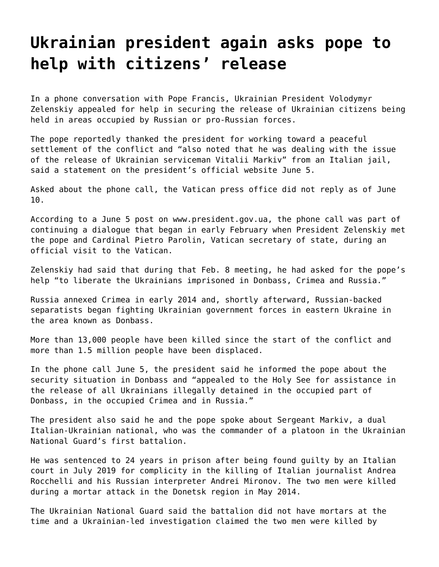## **[Ukrainian president again asks pope to](https://grandinmedia.ca/ukrainian-president-again-asks-pope-to-help-with-citizens-release/) [help with citizens' release](https://grandinmedia.ca/ukrainian-president-again-asks-pope-to-help-with-citizens-release/)**

In a phone conversation with Pope Francis, Ukrainian President Volodymyr Zelenskiy appealed for help in securing the release of Ukrainian citizens being held in areas occupied by Russian or pro-Russian forces.

The pope reportedly thanked the president for working toward a peaceful settlement of the conflict and "also noted that he was dealing with the issue of the release of Ukrainian serviceman Vitalii Markiv" from an Italian jail, said a statement on the president's official website June 5.

Asked about the phone call, the Vatican press office did not reply as of June 10.

According to a June 5 post on [www.president.gov.ua,](https://www.president.gov.ua/en) the phone call was part of continuing a dialogue that began in early February when President Zelenskiy met the pope and Cardinal Pietro Parolin, Vatican secretary of state, during an official visit to the Vatican.

Zelenskiy had said that during that Feb. 8 meeting, he had asked for the pope's help "to liberate the Ukrainians imprisoned in Donbass, Crimea and Russia."

Russia annexed Crimea in early 2014 and, shortly afterward, Russian-backed separatists began fighting Ukrainian government forces in eastern Ukraine in the area known as Donbass.

More than 13,000 people have been killed since the start of the conflict and more than 1.5 million people have been displaced.

In the phone call June 5, the president said he informed the pope about the security situation in Donbass and "appealed to the Holy See for assistance in the release of all Ukrainians illegally detained in the occupied part of Donbass, in the occupied Crimea and in Russia."

The president also said he and the pope spoke about Sergeant Markiv, a dual Italian-Ukrainian national, who was the commander of a platoon in the Ukrainian National Guard's first battalion.

He was sentenced to 24 years in prison after being found guilty by an Italian court in July 2019 for complicity in the killing of Italian journalist Andrea Rocchelli and his Russian interpreter Andrei Mironov. The two men were killed during a mortar attack in the Donetsk region in May 2014.

The Ukrainian National Guard said the battalion did not have mortars at the time and a Ukrainian-led investigation claimed the two men were killed by